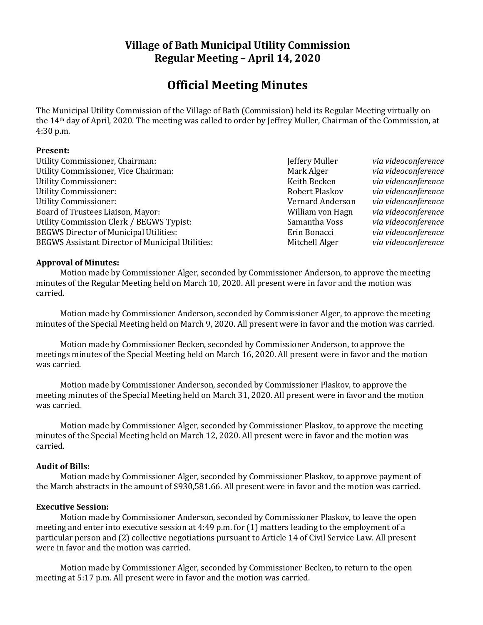## **Village of Bath Municipal Utility Commission Regular Meeting – April 14, 2020**

# **Official Meeting Minutes**

The Municipal Utility Commission of the Village of Bath (Commission) held its Regular Meeting virtually on the 14th day of April, 2020. The meeting was called to order by Jeffrey Muller, Chairman of the Commission, at 4:30 p.m.

#### **Present:**

Utility Commissioner, Chairman:  $\qquad \qquad$  **Jeffery Muller** *via videoconference* Utility Commissioner, Vice Chairman: Mark Alger *Mark Alger via videoconference* Utility Commissioner: Keith Becken *via videoconference* Utility Commissioner: Robert Plaskov *via videoconference* Utility Commissioner: Vernard Anderson *via videoconference* Board of Trustees Liaison, Mayor: William von Hagn *via videoconference* Utility Commission Clerk / BEGWS Typist: Samantha Voss *via videoconference* BEGWS Director of Municipal Utilities: Erin Bonacci *via videoconference* BEGWS Assistant Director of Municipal Utilities: Mitchell Alger *via videoconference* 

#### **Approval of Minutes:**

Motion made by Commissioner Alger, seconded by Commissioner Anderson, to approve the meeting minutes of the Regular Meeting held on March 10, 2020. All present were in favor and the motion was carried.

Motion made by Commissioner Anderson, seconded by Commissioner Alger, to approve the meeting minutes of the Special Meeting held on March 9, 2020. All present were in favor and the motion was carried.

Motion made by Commissioner Becken, seconded by Commissioner Anderson, to approve the meetings minutes of the Special Meeting held on March 16, 2020. All present were in favor and the motion was carried.

Motion made by Commissioner Anderson, seconded by Commissioner Plaskov, to approve the meeting minutes of the Special Meeting held on March 31, 2020. All present were in favor and the motion was carried.

Motion made by Commissioner Alger, seconded by Commissioner Plaskov, to approve the meeting minutes of the Special Meeting held on March 12, 2020. All present were in favor and the motion was carried.

#### **Audit of Bills:**

Motion made by Commissioner Alger, seconded by Commissioner Plaskov, to approve payment of the March abstracts in the amount of \$930,581.66. All present were in favor and the motion was carried.

#### **Executive Session:**

Motion made by Commissioner Anderson, seconded by Commissioner Plaskov, to leave the open meeting and enter into executive session at 4:49 p.m. for (1) matters leading to the employment of a particular person and (2) collective negotiations pursuant to Article 14 of Civil Service Law. All present were in favor and the motion was carried.

Motion made by Commissioner Alger, seconded by Commissioner Becken, to return to the open meeting at 5:17 p.m. All present were in favor and the motion was carried.